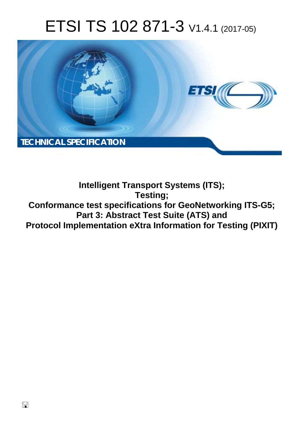# ETSI TS 102 871-3 V1.4.1 (2017-05)



**Intelligent Transport Systems (ITS); Testing; Conformance test specifications for GeoNetworking ITS-G5; Part 3: Abstract Test Suite (ATS) and Protocol Implementation eXtra Information for Testing (PIXIT)**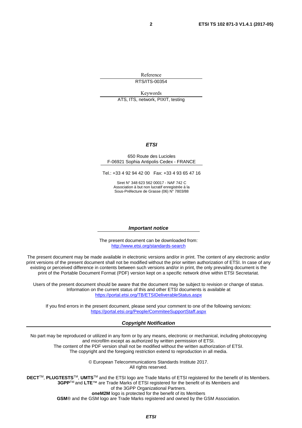Reference RTS/ITS-00354

Keywords

ATS, ITS, network, PIXIT, testing

#### *ETSI*

#### 650 Route des Lucioles F-06921 Sophia Antipolis Cedex - FRANCE

Tel.: +33 4 92 94 42 00 Fax: +33 4 93 65 47 16

Siret N° 348 623 562 00017 - NAF 742 C Association à but non lucratif enregistrée à la Sous-Préfecture de Grasse (06) N° 7803/88

#### *Important notice*

The present document can be downloaded from: <http://www.etsi.org/standards-search>

The present document may be made available in electronic versions and/or in print. The content of any electronic and/or print versions of the present document shall not be modified without the prior written authorization of ETSI. In case of any existing or perceived difference in contents between such versions and/or in print, the only prevailing document is the print of the Portable Document Format (PDF) version kept on a specific network drive within ETSI Secretariat.

Users of the present document should be aware that the document may be subject to revision or change of status. Information on the current status of this and other ETSI documents is available at <https://portal.etsi.org/TB/ETSIDeliverableStatus.aspx>

If you find errors in the present document, please send your comment to one of the following services: <https://portal.etsi.org/People/CommiteeSupportStaff.aspx>

#### *Copyright Notification*

No part may be reproduced or utilized in any form or by any means, electronic or mechanical, including photocopying and microfilm except as authorized by written permission of ETSI.

The content of the PDF version shall not be modified without the written authorization of ETSI. The copyright and the foregoing restriction extend to reproduction in all media.

> © European Telecommunications Standards Institute 2017. All rights reserved.

**DECT**TM, **PLUGTESTS**TM, **UMTS**TM and the ETSI logo are Trade Marks of ETSI registered for the benefit of its Members. **3GPP**TM and **LTE**™ are Trade Marks of ETSI registered for the benefit of its Members and of the 3GPP Organizational Partners.

**oneM2M** logo is protected for the benefit of its Members

**GSM**® and the GSM logo are Trade Marks registered and owned by the GSM Association.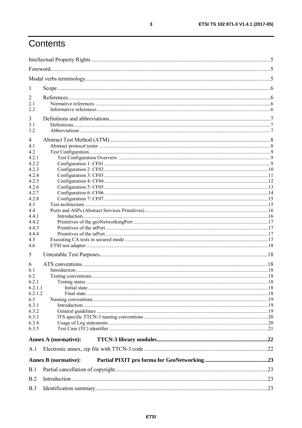## Contents

| 1            |                             |  |
|--------------|-----------------------------|--|
| 2            |                             |  |
| 2.1          |                             |  |
| 2.2          |                             |  |
|              |                             |  |
| 3            |                             |  |
| 3.1          |                             |  |
| 3.2          |                             |  |
| 4            |                             |  |
| 4.1          |                             |  |
| 4.2          |                             |  |
| 4.2.1        |                             |  |
| 4.2.2        |                             |  |
| 4.2.3        |                             |  |
| 4.2.4        |                             |  |
| 4.2.5        |                             |  |
| 4.2.6        |                             |  |
| 4.2.7<br>428 |                             |  |
|              |                             |  |
| 4.3<br>4.4   |                             |  |
| 4.4.1        |                             |  |
| 4.4.2        |                             |  |
| 4.4.3        |                             |  |
| 4.4.4        |                             |  |
| 4.5          |                             |  |
| 4.6          |                             |  |
| 5            |                             |  |
| 6            |                             |  |
| 6.1          |                             |  |
| 6.2          |                             |  |
| 6.2.1        |                             |  |
| 6.2.1.1      |                             |  |
| 6.2.1.2      |                             |  |
| 6.3          |                             |  |
| 6.3.1        |                             |  |
| 6.3.2        |                             |  |
| 6.3.3        |                             |  |
| 6.3.4        |                             |  |
| 6.3.5        |                             |  |
|              | <b>Annex A (normative):</b> |  |
| A.1          |                             |  |
|              | <b>Annex B</b> (normative): |  |
| B.1          |                             |  |
| B.2          |                             |  |
| B.3          |                             |  |

 $\mathbf{3}$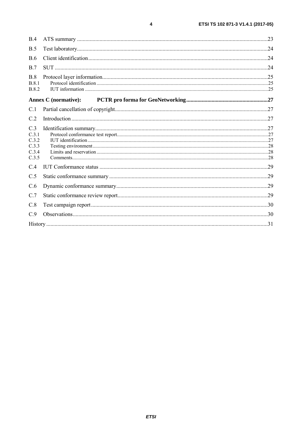| B.4                                              |                             |  |
|--------------------------------------------------|-----------------------------|--|
| B.5                                              |                             |  |
| <b>B.6</b>                                       |                             |  |
| B.7                                              |                             |  |
| B.8<br><b>B.8.1</b><br><b>B.8.2</b>              |                             |  |
|                                                  | <b>Annex C</b> (normative): |  |
| C.1                                              |                             |  |
| C.2                                              |                             |  |
| C.3<br>C.3.1<br>C.3.2<br>C.3.3<br>C.3.4<br>C.3.5 |                             |  |
| C.4                                              |                             |  |
| C.5                                              |                             |  |
| C.6                                              |                             |  |
| C.7                                              |                             |  |
| C.8                                              |                             |  |
| C.9                                              |                             |  |
|                                                  |                             |  |

 $\pmb{4}$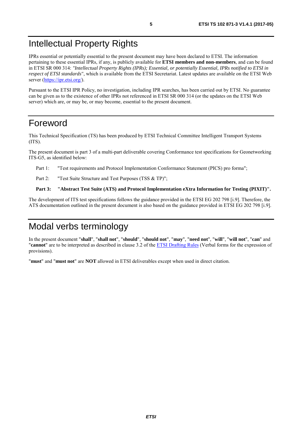## <span id="page-4-0"></span>Intellectual Property Rights

IPRs essential or potentially essential to the present document may have been declared to ETSI. The information pertaining to these essential IPRs, if any, is publicly available for **ETSI members and non-members**, and can be found in ETSI SR 000 314: *"Intellectual Property Rights (IPRs); Essential, or potentially Essential, IPRs notified to ETSI in respect of ETSI standards"*, which is available from the ETSI Secretariat. Latest updates are available on the ETSI Web server (<https://ipr.etsi.org/>).

Pursuant to the ETSI IPR Policy, no investigation, including IPR searches, has been carried out by ETSI. No guarantee can be given as to the existence of other IPRs not referenced in ETSI SR 000 314 (or the updates on the ETSI Web server) which are, or may be, or may become, essential to the present document.

## Foreword

This Technical Specification (TS) has been produced by ETSI Technical Committee Intelligent Transport Systems (ITS).

The present document is part 3 of a multi-part deliverable covering Conformance test specifications for Geonetworking ITS-G5, as identified below:

Part 1: "Test requirements and Protocol Implementation Conformance Statement (PICS) pro forma";

Part 2: "Test Suite Structure and Test Purposes (TSS & TP)";

#### **Part 3: "Abstract Test Suite (ATS) and Protocol Implementation eXtra Information for Testing (PIXIT)".**

The development of ITS test specifications follows the guidance provided in the ETSI EG 202 798 [[i.9\]](#page-6-0). Therefore, the ATS documentation outlined in the present document is also based on the guidance provided in ETSI EG 202 798 [[i.9\]](#page-6-0).

## Modal verbs terminology

In the present document "**shall**", "**shall not**", "**should**", "**should not**", "**may**", "**need not**", "**will**", "**will not**", "**can**" and "**cannot**" are to be interpreted as described in clause 3.2 of the [ETSI Drafting Rules](https://portal.etsi.org/Services/editHelp!/Howtostart/ETSIDraftingRules.aspx) (Verbal forms for the expression of provisions).

"**must**" and "**must not**" are **NOT** allowed in ETSI deliverables except when used in direct citation.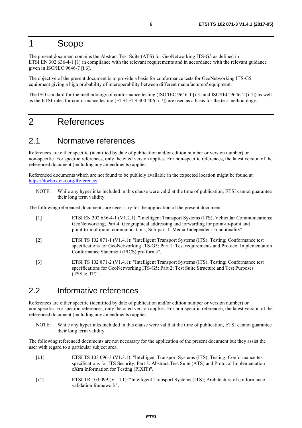## <span id="page-5-0"></span>1 Scope

The present document contains the Abstract Test Suite (ATS) for GeoNetworking ITS-G5 as defined in ETSI EN 302 636-4-1 [1] in compliance with the relevant requirements and in accordance with the relevant guidance given in ISO/IEC 9646-7 [\[i.6\]](#page-6-0).

The objective of the present document is to provide a basis for conformance tests for GeoNetworking ITS-G5 equipment giving a high probability of interoperability between different manufacturers' equipment.

The ISO standard for the methodology of conformance testing (ISO/IEC 9646-1 [\[i.3](#page-6-0)] and ISO/IEC 9646-2 [\[i.4\]](#page-6-0)) as well as the ETSI rules for conformance testing (ETSI ETS 300 406 [\[i.7](#page-6-0)]) are used as a basis for the test methodology.

### 2 References

### 2.1 Normative references

References are either specific (identified by date of publication and/or edition number or version number) or non-specific. For specific references, only the cited version applies. For non-specific references, the latest version of the referenced document (including any amendments) applies.

Referenced documents which are not found to be publicly available in the expected location might be found at <https://docbox.etsi.org/Reference/>.

NOTE: While any hyperlinks included in this clause were valid at the time of publication, ETSI cannot guarantee their long term validity.

The following referenced documents are necessary for the application of the present document.

- [1] ETSI EN 302 636-4-1 (V1.2.1): "Intelligent Transport Systems (ITS); Vehicular Communications; GeoNetworking; Part 4: Geographical addressing and forwarding for point-to-point and point-to-multipoint communications; Sub-part 1: Media-Independent Functionality".
- [2] ETSI TS 102 871-1 (V1.4.1): "Intelligent Transport Systems (ITS); Testing; Conformance test specifications for GeoNetworking ITS-G5; Part 1: Test requirements and Protocol Implementation Conformance Statement (PICS) pro forma".
- [3] ETSI TS 102 871-2 (V1.4.1): "Intelligent Transport Systems (ITS); Testing; Conformance test specifications for GeoNetworking ITS-G5; Part 2: Test Suite Structure and Test Purposes (TSS & TP)".

### 2.2 Informative references

References are either specific (identified by date of publication and/or edition number or version number) or non-specific. For specific references, only the cited version applies. For non-specific references, the latest version of the referenced document (including any amendments) applies.

NOTE: While any hyperlinks included in this clause were valid at the time of publication, ETSI cannot guarantee their long term validity.

The following referenced documents are not necessary for the application of the present document but they assist the user with regard to a particular subject area.

- [i.1] ETSI TS 103 096-3 (V1.3.1): "Intelligent Transport Systems (ITS); Testing; Conformance test specifications for ITS Security; Part 3: Abstract Test Suite (ATS) and Protocol Implementation eXtra Information for Testing (PIXIT)".
- [i.2] ETSI TR 103 099 (V1.4.1): "Intelligent Transport Systems (ITS); Architecture of conformance validation framework".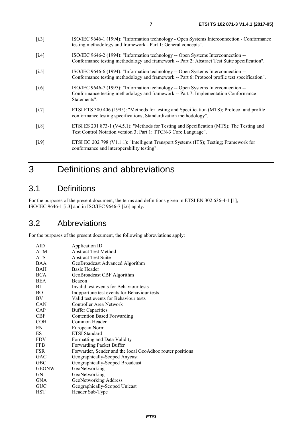- <span id="page-6-0"></span>[i.3] ISO/IEC 9646-1 (1994): "Information technology - Open Systems Interconnection - Conformance testing methodology and framework - Part 1: General concepts".
- [i.4] ISO/IEC 9646-2 (1994): "Information technology -- Open Systems Interconnection -- Conformance testing methodology and framework -- Part 2: Abstract Test Suite specification".
- [i.5] ISO/IEC 9646-6 (1994): "Information technology -- Open Systems Interconnection --Conformance testing methodology and framework -- Part 6: Protocol profile test specification".
- [i.6] ISO/IEC 9646-7 (1995): "Information technology -- Open Systems Interconnection -- Conformance testing methodology and framework -- Part 7: Implementation Conformance Statements".
- [i.7] ETSI ETS 300 406 (1995): "Methods for testing and Specification (MTS); Protocol and profile conformance testing specifications; Standardization methodology".
- [i.8] ETSI ES 201 873-1 (V4.5.1): "Methods for Testing and Specification (MTS); The Testing and Test Control Notation version 3; Part 1: TTCN-3 Core Language".
- [i.9] ETSI EG 202 798 (V1.1.1): "Intelligent Transport Systems (ITS); Testing; Framework for conformance and interoperability testing".

## 3 Definitions and abbreviations

### 3.1 Definitions

For the purposes of the present document, the terms and definitions given in ETSI EN 302 636-4-1 [\[1](#page-5-0)], ISO/IEC 9646-1 [i.3] and in ISO/IEC 9646-7 [i.6] apply.

### 3.2 Abbreviations

For the purposes of the present document, the following abbreviations apply:

| AID          | Application ID                                            |
|--------------|-----------------------------------------------------------|
| ATM          | <b>Abstract Test Method</b>                               |
| ATS          | <b>Abstract Test Suite</b>                                |
| <b>BAA</b>   | GeoBroadcast Advanced Algorithm                           |
| BAH          | <b>Basic Header</b>                                       |
| <b>BCA</b>   | GeoBroadcast CBF Algorithm                                |
| BEA          | Beacon                                                    |
| ВI           | Invalid test events for Behaviour tests                   |
| ВO           | Inopportune test events for Behaviour tests               |
| BV           | Valid test events for Behaviour tests                     |
| <b>CAN</b>   | Controller Area Network                                   |
| <b>CAP</b>   | <b>Buffer Capacities</b>                                  |
| <b>CBF</b>   | <b>Contention Based Forwarding</b>                        |
| <b>COH</b>   | Common Header                                             |
| EN           | European Norm                                             |
| ES           | <b>ETSI</b> Standard                                      |
| <b>FDV</b>   | Formatting and Data Validity                              |
| <b>FPB</b>   | Forwarding Packet Buffer                                  |
| <b>FSR</b>   | Forwarder, Sender and the local GeoAdhoc router positions |
| GAC          | Geographically-Scoped Anycast                             |
| GBC          | Geographically-Scoped Broadcast                           |
| <b>GEONW</b> | GeoNetworking                                             |
| GN           | GeoNetworking                                             |
| <b>GNA</b>   | GeoNetworking Address                                     |
| GUC          | Geographically-Scoped Unicast                             |
| <b>HST</b>   | Header Sub-Type                                           |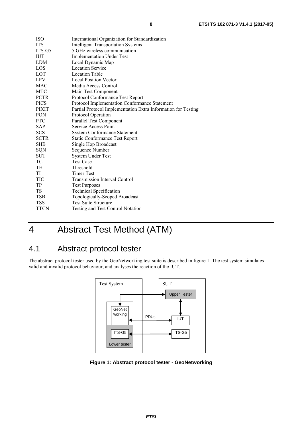<span id="page-7-0"></span>

| ISO         | International Organization for Standardization                |
|-------------|---------------------------------------------------------------|
| ITS         | <b>Intelligent Transportation Systems</b>                     |
| ITS-G5      | 5 GHz wireless communication                                  |
| IUT         | <b>Implementation Under Test</b>                              |
| LDM         | Local Dynamic Map                                             |
| LOS         | <b>Location Service</b>                                       |
| LOT         | <b>Location Table</b>                                         |
| LPV         | <b>Local Position Vector</b>                                  |
| MAC         | Media Access Control                                          |
| MTC         | Main Test Component                                           |
| PCTR        | Protocol Conformance Test Report                              |
| PICS        | Protocol Implementation Conformance Statement                 |
| PIXIT       | Partial Protocol Implementation Extra Information for Testing |
| PON         | Protocol Operation                                            |
| PTC         | Parallel Test Component                                       |
| SAP         | Service Access Point                                          |
| SCS         | <b>System Conformance Statement</b>                           |
| <b>SCTR</b> | <b>Static Conformance Test Report</b>                         |
| SHB         | Single Hop Broadcast                                          |
| SQN         | Sequence Number                                               |
| <b>SUT</b>  | System Under Test                                             |
| TC          | <b>Test Case</b>                                              |
| TН          | Threshold                                                     |
| TI          | <b>Timer Test</b>                                             |
| TIC         | <b>Transmission Interval Control</b>                          |
| TP          | <b>Test Purposes</b>                                          |
| TS          | <b>Technical Specification</b>                                |
| TSB         | Topologically-Scoped Broadcast                                |
| TSS         | <b>Test Suite Structure</b>                                   |
| TTCN        | Testing and Test Control Notation                             |

## 4 Abstract Test Method (ATM)

### 4.1 Abstract protocol tester

The abstract protocol tester used by the GeoNetworking test suite is described in figure 1. The test system simulates valid and invalid protocol behaviour, and analyses the reaction of the IUT.



**Figure 1: Abstract protocol tester - GeoNetworking**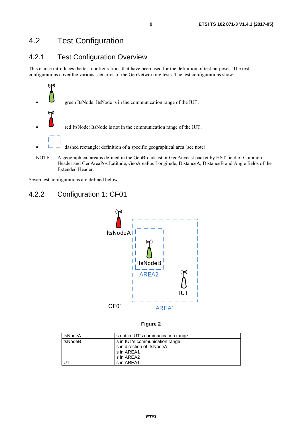### <span id="page-8-0"></span>4.2 Test Configuration

### 4.2.1 Test Configuration Overview

This clause introduces the test configurations that have been used for the definition of test purposes. The test configurations cover the various scenarios of the GeoNetworking tests. The test configurations show:



Seven test configurations are defined below.

### 4.2.2 Configuration 1: CF01



|                      |                            |                                                                        | J |
|----------------------|----------------------------|------------------------------------------------------------------------|---|
|                      | CF01                       | AREA1                                                                  |   |
|                      |                            |                                                                        |   |
|                      |                            | Figure 2                                                               |   |
|                      |                            |                                                                        |   |
| ItsNodeA<br>ItsNodeB |                            | is not in IUT's communication range<br>is in IUT's communication range |   |
|                      |                            | is in direction of ItsNodeA                                            |   |
|                      | is in AREA1                |                                                                        |   |
| <b>IUT</b>           | is in AREA2<br>is in AREA1 |                                                                        |   |
|                      |                            |                                                                        |   |
|                      |                            |                                                                        |   |
|                      |                            |                                                                        |   |
|                      |                            |                                                                        |   |
|                      |                            |                                                                        |   |
|                      |                            |                                                                        |   |
|                      |                            | <b>ETSI</b>                                                            |   |
|                      |                            |                                                                        |   |
|                      |                            |                                                                        |   |
|                      |                            |                                                                        |   |
|                      |                            |                                                                        |   |
|                      |                            |                                                                        |   |
|                      |                            |                                                                        |   |
|                      |                            |                                                                        |   |
|                      |                            |                                                                        |   |
|                      |                            |                                                                        |   |
|                      |                            |                                                                        |   |
|                      |                            |                                                                        |   |
|                      |                            |                                                                        |   |
|                      |                            |                                                                        |   |
|                      |                            |                                                                        |   |
|                      |                            |                                                                        |   |
|                      |                            |                                                                        |   |
|                      |                            |                                                                        |   |
|                      |                            |                                                                        |   |
|                      |                            |                                                                        |   |
|                      |                            |                                                                        |   |
|                      |                            |                                                                        |   |
|                      |                            |                                                                        |   |
|                      |                            |                                                                        |   |
|                      |                            |                                                                        |   |
|                      |                            |                                                                        |   |
|                      |                            |                                                                        |   |
|                      |                            |                                                                        |   |
|                      |                            |                                                                        |   |
|                      |                            |                                                                        |   |
|                      |                            |                                                                        |   |
|                      |                            |                                                                        |   |
|                      |                            |                                                                        |   |
|                      |                            |                                                                        |   |
|                      |                            |                                                                        |   |
|                      |                            |                                                                        |   |
|                      |                            |                                                                        |   |
|                      |                            |                                                                        |   |
|                      |                            |                                                                        |   |
|                      |                            |                                                                        |   |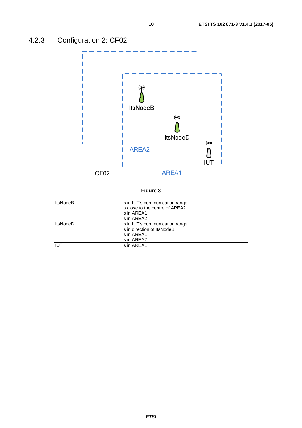<span id="page-9-0"></span>

| <b>ItsNodeB</b> | is in IUT's communication range<br>lis close to the centre of AREA2<br>lis in AREA1 |
|-----------------|-------------------------------------------------------------------------------------|
|                 | is in AREA2                                                                         |
| <b>ItsNodeD</b> | is in IUT's communication range<br>lis in direction of ItsNodeB                     |
|                 | lis in AREA1                                                                        |
|                 | lis in AREA2                                                                        |
|                 | is in AREA1                                                                         |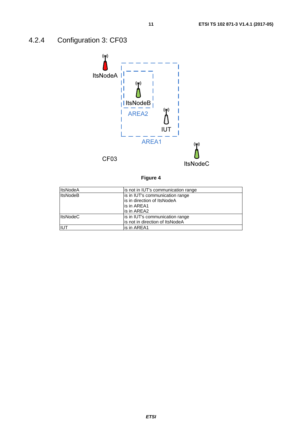## <span id="page-10-0"></span>4.2.4 Configuration 3: CF03



| יומ<br>ır<br>ı |  |
|----------------|--|
|----------------|--|

| <b>ItsNodeA</b> | is not in IUT's communication range |
|-----------------|-------------------------------------|
| <b>ItsNodeB</b> | is in IUT's communication range     |
|                 | is in direction of ItsNodeA         |
|                 | lis in AREA1                        |
|                 | lis in AREA2                        |
| <b>ItsNodeC</b> | is in IUT's communication range     |
|                 | lis not in direction of ItsNodeA    |
| <b>IUT</b>      | is in AREA1                         |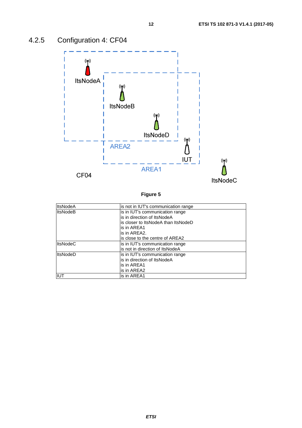

## <span id="page-11-0"></span>4.2.5 Configuration 4: CF04

| <b>ItsNodeA</b> | is not in IUT's communication range |
|-----------------|-------------------------------------|
| <b>ItsNodeB</b> | is in IUT's communication range     |
|                 | is in direction of ItsNodeA         |
|                 | is closer to ItsNodeA than ItsNodeD |
|                 | is in AREA1                         |
|                 | is in AREA2.                        |
|                 | is close to the centre of AREA2     |
| <b>ItsNodeC</b> | is in IUT's communication range     |
|                 | is not in direction of ItsNodeA     |
| <b>ItsNodeD</b> | is in IUT's communication range     |
|                 | is in direction of ItsNodeA         |
|                 | is in AREA1                         |
|                 | is in AREA2                         |
| IUT             | is in AREA1                         |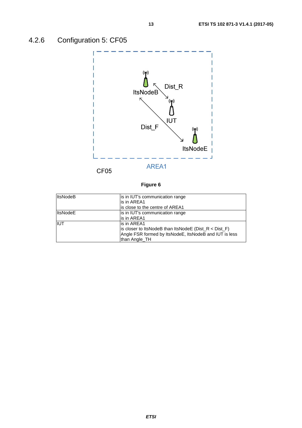<span id="page-12-0"></span>

| <b>ItsNodeB</b> | is in IUT's communication range                           |
|-----------------|-----------------------------------------------------------|
|                 | is in AREA1                                               |
|                 | is close to the centre of AREA1                           |
| <b>ItsNodeE</b> | is in IUT's communication range                           |
|                 | lis in AREA1                                              |
| <b>IIUT</b>     | lis in AREA1                                              |
|                 | is closer to ItsNodeB than ItsNodeE ( $Dist_R < Dist_F$ ) |
|                 | Angle FSR formed by ItsNodeE, ItsNodeB and IUT is less    |
|                 | than Angle_TH                                             |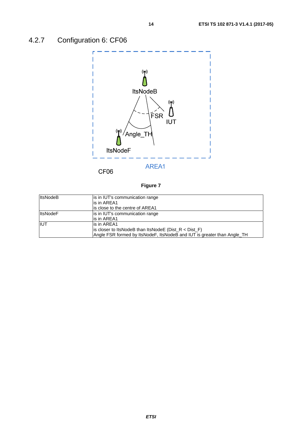<span id="page-13-0"></span>

CF06

| <b>ItsNodeB</b> | is in IUT's communication range<br>lis in AREA1                         |
|-----------------|-------------------------------------------------------------------------|
|                 |                                                                         |
|                 | lis close to the centre of AREA1                                        |
| <b>ItsNodeF</b> | is in IUT's communication range                                         |
|                 | lis in AREA1                                                            |
| <b>IIUT</b>     | lis in AREA1                                                            |
|                 | is closer to ItsNodeB than ItsNodeE ( $Dist_R < Dist_F$ )               |
|                 | Angle FSR formed by ItsNodeF, ItsNodeB and IUT is greater than Angle_TH |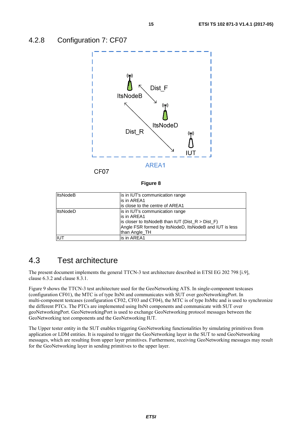<span id="page-14-0"></span>

**Figure 8** 

| <b>ItsNodeB</b> | is in IUT's communication range                        |  |
|-----------------|--------------------------------------------------------|--|
|                 | is in AREA1                                            |  |
|                 | is close to the centre of AREA1                        |  |
| <b>ItsNodeD</b> | is in IUT's communication range                        |  |
|                 | is in AREA1                                            |  |
|                 | is closer to ItsNodeB than IUT ( $Dist_R > Dist_F$ )   |  |
|                 | Angle FSR formed by ItsNodeD, ItsNodeB and IUT is less |  |
|                 | than Angle TH                                          |  |
| IUT             | lis in AREA1                                           |  |

### 4.3 Test architecture

The present document implements the general TTCN-3 test architecture described in ETSI EG 202 798 [\[i.9\]](#page-6-0), clause 6.3.2 and clause 8.3.1.

Figure [9](#page-15-0) shows the TTCN-3 test architecture used for the GeoNetworking ATS. In single-component testcases (configuration CF01), the MTC is of type ItsNt and communicates with SUT over geoNetworkingPort. In multi-component testcases (configuration CF02, CF03 and CF04), the MTC is of type ItsMtc and is used to synchronize the different PTCs. The PTCs are implemented using ItsNt components and communicate with SUT over geoNetworkingPort. GeoNetworkingPort is used to exchange GeoNetworking protocol messages between the GeoNetworking test components and the GeoNetworking IUT.

The Upper tester entity in the SUT enables triggering GeoNetworking functionalities by simulating primitives from application or LDM entities. It is required to trigger the GeoNetworking layer in the SUT to send GeoNetworking messages, which are resulting from upper layer primitives. Furthermore, receiving GeoNetworking messages may result for the GeoNetworking layer in sending primitives to the upper layer.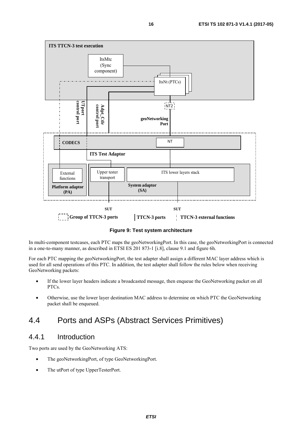<span id="page-15-0"></span>

**Figure 9: Test system architecture** 

In multi-component testcases, each PTC maps the geoNetworkingPort. In this case, the geoNetworkingPort is connected in a one-to-many manner, as described in ETSI ES 201 873-1 [[i.8](#page-6-0)], clause 9.1 and figure 6h.

For each PTC mapping the geoNetworkingPort, the test adapter shall assign a different MAC layer address which is used for all send operations of this PTC. In addition, the test adapter shall follow the rules below when receiving GeoNetworking packets:

- If the lower layer headers indicate a broadcasted message, then enqueue the GeoNetworking packet on all PTCs.
- Otherwise, use the lower layer destination MAC address to determine on which PTC the GeoNetworking packet shall be enqueued.

### 4.4 Ports and ASPs (Abstract Services Primitives)

### 4.4.1 Introduction

Two ports are used by the GeoNetworking ATS:

- The geoNetworkingPort, of type GeoNetworkingPort.
- The utPort of type UpperTesterPort.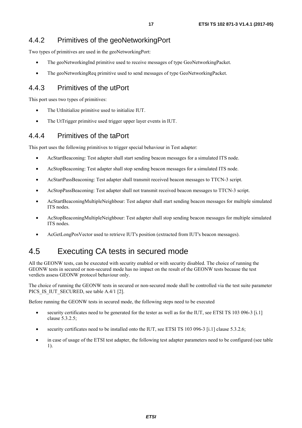<span id="page-16-0"></span>Two types of primitives are used in the geoNetworkingPort:

- The geoNetworkingInd primitive used to receive messages of type GeoNetworkingPacket.
- The geoNetworkingReq primitive used to send messages of type GeoNetworkingPacket.

### 4.4.3 Primitives of the utPort

This port uses two types of primitives:

- The UtInitialize primitive used to initialize IUT.
- The UtTrigger primitive used trigger upper layer events in IUT.

### 4.4.4 Primitives of the taPort

This port uses the following primitives to trigger special behaviour in Test adapter:

- AcStartBeaconing: Test adapter shall start sending beacon messages for a simulated ITS node.
- AcStopBeaconing: Test adapter shall stop sending beacon messages for a simulated ITS node.
- AcStartPassBeaconing: Test adapter shall transmit received beacon messages to TTCN-3 script.
- AcStopPassBeaconing: Test adapter shall not transmit received beacon messages to TTCN-3 script.
- AcStartBeaconingMultipleNeighbour: Test adapter shall start sending beacon messages for multiple simulated ITS nodes.
- AcStopBeaconingMultipleNeighbour: Test adapter shall stop sending beacon messages for multiple simulated ITS nodes.
- AcGetLongPosVector used to retrieve IUT's position (extracted from IUT's beacon messages).

### 4.5 Executing CA tests in secured mode

All the GEONW tests, can be executed with security enabled or with security disabled. The choice of running the GEONW tests in secured or non-secured mode has no impact on the result of the GEONW tests because the test verdicts assess GEONW protocol behaviour only.

The choice of running the GEONW tests in secured or non-secured mode shall be controlled via the test suite parameter PICS IS IUT SECURED, see table A.4/1 [\[2](#page-5-0)].

Before running the GEONW tests in secured mode, the following steps need to be executed

- security certificates need to be generated for the tester as well as for the IUT, see ETSI TS 103 096-3 [[i.1](#page-5-0)] clause 5.3.2.5;
- security certificates need to be installed onto the IUT, see ETSI TS 103 096-3 [\[i.1](#page-5-0)] clause 5.3.2.6;
- in case of usage of the ETSI test adapter, the following test adapter parameters need to be configured (see table 1).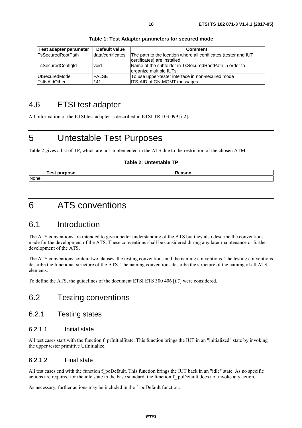<span id="page-17-0"></span>

| Test adapter parameter | Default value     | <b>Comment</b>                                                                                 |
|------------------------|-------------------|------------------------------------------------------------------------------------------------|
| TsSecuredRootPath      | data/certificates | The path to the location where all certificates (tester and IUT<br>certificates) are installed |
| TsSecuredConfigId      | void              | Name of the subfolder in TsSecuredRootPath in order to<br>organize multiple IUTs               |
| UtSecuredMode          | <b>FALSE</b>      | To use upper-tester interface in non-secured mode                                              |
| TsltsAidOther          | 141               | <b>ITS-AID of GN-MGMT messages</b>                                                             |

**Table 1: Test Adapter parameters for secured mode** 

### 4.6 ETSI test adapter

All information of the ETSI test adapter is described in ETSI TR 103 099 [\[i.2](#page-5-0)].

### 5 Untestable Test Purposes

Table 2 gives a list of TP, which are not implemented in the ATS due to the restriction of the chosen ATM.

#### **Table 2: Untestable TP**

| rest i<br><br>. DU<br>. pose | $J$ annar<br><b>Reason</b> |
|------------------------------|----------------------------|
| None                         |                            |

### 6 ATS conventions

### 6.1 Introduction

The ATS conventions are intended to give a better understanding of the ATS but they also describe the conventions made for the development of the ATS. These conventions shall be considered during any later maintenance or further development of the ATS.

The ATS conventions contain two clauses, the testing conventions and the naming conventions. The testing conventions describe the functional structure of the ATS. The naming conventions describe the structure of the naming of all ATS elements.

To define the ATS, the guidelines of the document ETSI ETS 300 406 [\[i.7\]](#page-6-0) were considered.

### 6.2 Testing conventions

### 6.2.1 Testing states

### 6.2.1.1 Initial state

All test cases start with the function f prInitialState. This function brings the IUT in an "initialized" state by invoking the upper tester primitive UtInitialize.

### 6.2.1.2 Final state

All test cases end with the function f poDefault. This function brings the IUT back in an "idle" state. As no specific actions are required for the idle state in the base standard, the function f\_ poDefault does not invoke any action.

As necessary, further actions may be included in the f\_poDefault function.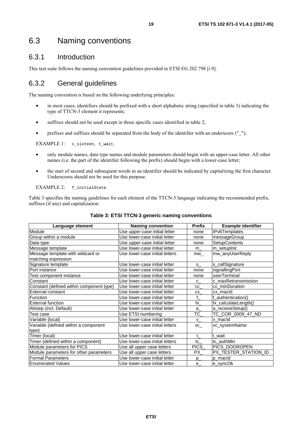### <span id="page-18-0"></span>6.3 Naming conventions

### 6.3.1 Introduction

This test suite follows the naming convention guidelines provided in ETSI EG 202 798 [\[i.9](#page-6-0)].

### 6.3.2 General guidelines

The naming convention is based on the following underlying principles:

- in most cases, identifiers should be prefixed with a short alphabetic string (specified in table 3) indicating the type of TTCN-3 element it represents;
- suffixes should not be used except in those specific cases identified in table 2;
- prefixes and suffixes should be separated from the body of the identifier with an underscore (" $"$ );

EXAMPLE 1: c\_sixteen, t\_wait.

- only module names, data type names and module parameters should begin with an upper-case letter. All other names (i.e. the part of the identifier following the prefix) should begin with a lower-case letter;
- the start of second and subsequent words in an identifier should be indicated by capitalizing the first character. Underscores should not be used for this purpose.

EXAMPLE 2: f\_initialState.

Table 3 specifies the naming guidelines for each element of the TTCN-3 language indicating the recommended prefix, suffixes (if any) and capitalization.

| Language element                              | <b>Naming convention</b>       | <b>Prefix</b>    | <b>Example identifier</b> |
|-----------------------------------------------|--------------------------------|------------------|---------------------------|
| Module                                        | Use upper-case initial letter  | none             | <b>IPv6Templates</b>      |
| Group within a module                         | Use lower-case initial letter  | none             | messageGroup              |
| Data type                                     | Use upper-case initial letter  | none             | SetupContents             |
| Message template                              | Use lower-case initial letter  | m                | m_setupInit               |
| Message template with wildcard or             | Use lower-case initial letters | mw               | mw_anyUserReply           |
| matching expression                           |                                |                  |                           |
| Signature template                            | Use lower-case initial letter  | S.               | s_callSignature           |
| Port instance                                 | Use lower-case initial letter  | none             | signallingPort            |
| Test component instance                       | Use lower-case initial letter  | none             | userTerminal              |
| Constant                                      | Use lower-case initial letter  | C                | c maxRetransmission       |
| Constant (defined within component type)      | Use lower-case initial letter  | cc               | cc_minDuration            |
| <b>External constant</b>                      | Use lower-case initial letter  | СX               | cx macld                  |
| Function                                      | Use lower-case initial letter  | f                | authentication()          |
| <b>External function</b>                      | Use lower-case initial letter  | $f_{\mathsf{X}}$ | fx_calculateLength()      |
| Altstep (incl. Default)                       | Use lower-case initial letter  | $a_{-}$          | a_receiveSetup()          |
| Test case                                     | Use ETSI numbering             | TC               | TC COR 0009 47 ND         |
| Variable (local)                              | Use lower-case initial letter  | V.               | v macld                   |
| Variable (defined within a component<br>type) | Use lower-case initial letters | VC_              | vc_systemName             |
| Timer (local)                                 | Use lower-case initial letter  | $\mathbf{t}$     | t wait                    |
| Timer (defined within a component)            | Use lower-case initial letters | tc               | tc authMin                |
| Module parameters for PICS                    | Use all upper case letters     | PICS_            | PICS_DOOROPEN             |
| Module parameters for other parameters        | Use all upper case letters     | PX               | PX_TESTER_STATION_ID      |
| <b>Formal Parameters</b>                      | Use lower-case initial letter  | $p_{-}$          | p macld                   |
| <b>Enumerated Values</b>                      | Use lower-case initial letter  | $e_{-}$          | e_syncOk                  |

#### **Table 3: ETSI TTCN-3 generic naming conventions**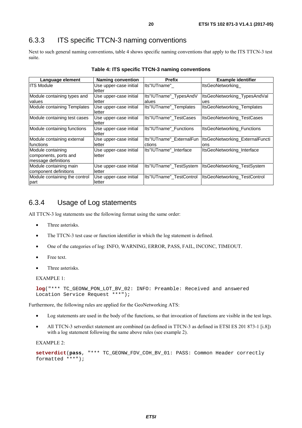### <span id="page-19-0"></span>6.3.3 ITS specific TTCN-3 naming conventions

Next to such general naming conventions, table 4 shows specific naming conventions that apply to the ITS TTCN-3 test suite.

| Language element                                                  | <b>Naming convention</b>         | <b>Prefix</b>                      | <b>Example identifier</b>               |
|-------------------------------------------------------------------|----------------------------------|------------------------------------|-----------------------------------------|
| <b>ITS Module</b>                                                 | Use upper-case initial<br>letter | lts"IUTname"                       | ItsGeoNetworking                        |
| Module containing types and<br>values                             | Use upper-case initial<br>letter | Its"IUTname"_TypesAndV<br>lalues   | ItsGeoNetworking_TypesAndVal<br>ues     |
| Module containing Templates                                       | Use upper-case initial<br>letter | Its"IUTname"_Templates             | <b>ItsGeoNetworking Templates</b>       |
| Module containing test cases                                      | Use upper-case initial<br>letter | llts"IUTname" TestCases            | <b>ItsGeoNetworking TestCases</b>       |
| Module containing functions                                       | Use upper-case initial<br>letter | Its"IUTname" Functions             | ItsGeoNetworking_Functions              |
| Module containing external<br>functions                           | Use upper-case initial<br>letter | Its"IUTname" ExternalFun<br>ctions | ItsGeoNetworking ExternalFuncti<br>lons |
| Module containing<br>components, ports and<br>message definitions | Use upper-case initial<br>letter | Its"IUTname" Interface             | ItsGeoNetworking_Interface              |
| Module containing main<br>component definitions                   | Use upper-case initial<br>letter | Its"IUTname" TestSystem            | ItsGeoNetworking TestSystem             |
| Module containing the control<br>part                             | Use upper-case initial<br>letter | llts"IUTname" TestControl          | ItsGeoNetworking_TestControl            |

|  |  | Table 4: ITS specific TTCN-3 naming conventions |  |
|--|--|-------------------------------------------------|--|
|--|--|-------------------------------------------------|--|

### 6.3.4 Usage of Log statements

All TTCN-3 log statements use the following format using the same order:

- Three asterisks.
- The TTCN-3 test case or function identifier in which the log statement is defined.
- One of the categories of log: INFO, WARNING, ERROR, PASS, FAIL, INCONC, TIMEOUT.
- Free text
- Three asterisks.

EXAMPLE 1:

```
log("*** TC_GEONW_PON_LOT_BV_02: INFO: Preamble: Received and answered 
Location Service Request ***");
```
Furthermore, the following rules are applied for the GeoNetworking ATS:

- Log statements are used in the body of the functions, so that invocation of functions are visible in the test logs.
- All TTCN-3 setverdict statement are combined (as defined in TTCN-3 as defined in ETSI ES 201 873-1 [\[i.8\]](#page-6-0)) with a log statement following the same above rules (see example 2).

EXAMPLE 2:

```
setverdict(pass, "*** TC_GEONW_FDV_COH_BV_01: PASS: Common Header correctly 
formatted ***");
```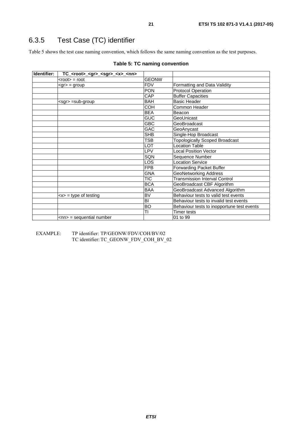### <span id="page-20-0"></span>6.3.5 Test Case (TC) identifier

Table 5 shows the test case naming convention, which follows the same naming convention as the test purposes.

| Identifier: | TC_ <root>_<gr>_<sgr>_<x>_<nn></nn></x></sgr></gr></root> |              |                                            |
|-------------|-----------------------------------------------------------|--------------|--------------------------------------------|
|             | $<$ root $>$ = root                                       | <b>GEONW</b> |                                            |
|             | $<$ gr $>$ = group                                        | <b>FDV</b>   | Formatting and Data Validity               |
|             |                                                           | <b>PON</b>   | <b>Protocol Operation</b>                  |
|             |                                                           | CAP          | <b>Buffer Capacities</b>                   |
|             | $<$ sgr $>$ =sub-group                                    | <b>BAH</b>   | <b>Basic Header</b>                        |
|             |                                                           | <b>COH</b>   | Common Header                              |
|             |                                                           | <b>BEA</b>   | Beacon                                     |
|             |                                                           | <b>GUC</b>   | GeoUnicast                                 |
|             |                                                           | <b>GBC</b>   | GeoBroadcast                               |
|             |                                                           | GAC          | GeoAnycast                                 |
|             |                                                           | <b>SHB</b>   | Single-Hop Broadcast                       |
|             |                                                           | TSB          | <b>Topologically Scoped Broadcast</b>      |
|             |                                                           | LOT          | <b>Location Table</b>                      |
|             |                                                           | LPV          | <b>Local Position Vector</b>               |
|             |                                                           | SQN          | Sequence Number                            |
|             |                                                           | <b>LOS</b>   | <b>Location Service</b>                    |
|             |                                                           | <b>FPB</b>   | Forwarding Packet Buffer                   |
|             |                                                           | <b>GNA</b>   | <b>GeoNetworking Address</b>               |
|             |                                                           | <b>TIC</b>   | <b>Transmission Interval Control</b>       |
|             |                                                           | <b>BCA</b>   | GeoBroadcast CBF Algorithm                 |
|             |                                                           | <b>BAA</b>   | GeoBroadcast Advanced Algorithm            |
|             | $\langle x \rangle$ = type of testing                     | <b>BV</b>    | Behaviour tests to valid test events       |
|             |                                                           | BI           | Behaviour tests to invalid test events     |
|             |                                                           | <b>BO</b>    | Behaviour tests to inopportune test events |
|             |                                                           | TI           | Timer tests                                |
|             | $\leq$ nn> = sequential number                            |              | 01 to 99                                   |

EXAMPLE: TP identifier: TP/GEONW/FDV/COH/BV/02 TC identifier: TC\_GEONW\_FDV\_COH\_BV\_02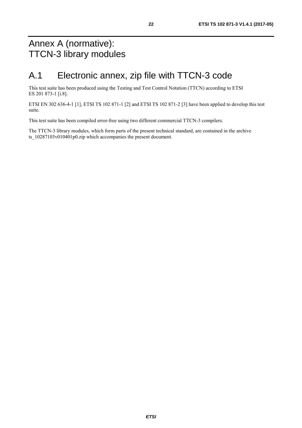## <span id="page-21-0"></span>Annex A (normative): TTCN-3 library modules

## A.1 Electronic annex, zip file with TTCN-3 code

This test suite has been produced using the Testing and Test Control Notation (TTCN) according to ETSI ES 201 873-1 [\[i.8\]](#page-6-0).

ETSI EN 302 636-4-1 [\[1](#page-5-0)], ETSI TS 102 871-1 [[2\]](#page-5-0) and ETSI TS 102 871-2 [[3\]](#page-5-0) have been applied to develop this test suite.

This test suite has been compiled error-free using two different commercial TTCN-3 compilers.

The TTCN-3 library modules, which form parts of the present technical standard, are contained in the archive ts  $10287103v010401p0.zip$  which accompanies the present document.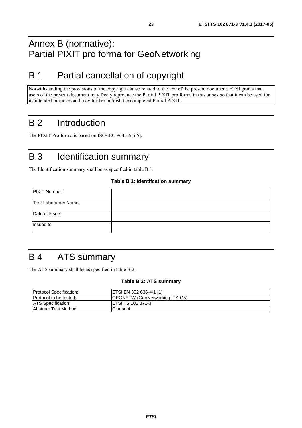## <span id="page-22-0"></span>Annex B (normative): Partial PIXIT pro forma for GeoNetworking

## B.1 Partial cancellation of copyright

Notwithstanding the provisions of the copyright clause related to the text of the present document, ETSI grants that users of the present document may freely reproduce the Partial PIXIT pro forma in this annex so that it can be used for its intended purposes and may further publish the completed Partial PIXIT.

## B.2 Introduction

The PIXIT Pro forma is based on ISO/IEC 9646-6 [\[i.5](#page-6-0)].

## B.3 Identification summary

The Identification summary shall be as specified in table B.1.

#### **Table B.1: Identifcation summary**

| PIXIT Number:         |  |
|-----------------------|--|
| Test Laboratory Name: |  |
| Date of Issue:        |  |
| Issued to:            |  |

## B.4 ATS summary

The ATS summary shall be as specified in table B.2.

#### **Table B.2: ATS summary**

| <b>Protocol Specification:</b> | <b>ETSI EN 302 636-4-1 [1]</b>         |
|--------------------------------|----------------------------------------|
| <b>Protocol to be tested:</b>  | <b>IGEONETW (GeoNetworking ITS-G5)</b> |
| <b>IATS Specification:</b>     | <b>IETSI TS 102 871-3</b>              |
| <b>Abstract Test Method:</b>   | IClause 4                              |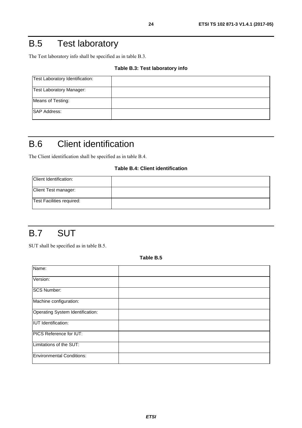## <span id="page-23-0"></span>B.5 Test laboratory

The Test laboratory info shall be specified as in table B.3.

#### **Table B.3: Test laboratory info**

| Test Laboratory Identification: |  |
|---------------------------------|--|
| <b>Test Laboratory Manager:</b> |  |
| Means of Testing:               |  |
| <b>SAP Address:</b>             |  |

## B.6 Client identification

The Client identification shall be specified as in table B.4.

#### **Table B.4: Client identification**

| Client Identification:    |  |
|---------------------------|--|
| Client Test manager:      |  |
| Test Facilities required: |  |

## B.7 SUT

SUT shall be specified as in table B.5.

**Table B.5** 

| Name:                            |  |
|----------------------------------|--|
|                                  |  |
| Version:                         |  |
|                                  |  |
| <b>SCS Number:</b>               |  |
|                                  |  |
| Machine configuration:           |  |
|                                  |  |
| Operating System Identification: |  |
|                                  |  |
| <b>IUT</b> Identification:       |  |
|                                  |  |
| <b>PICS Reference for IUT:</b>   |  |
|                                  |  |
| Limitations of the SUT:          |  |
|                                  |  |
| Environmental Conditions:        |  |
|                                  |  |
|                                  |  |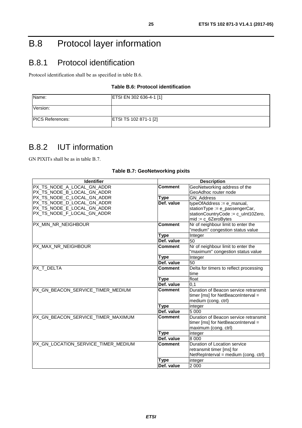## <span id="page-24-0"></span>B.8 Protocol layer information

## B.8.1 Protocol identification

Protocol identification shall be as specified in table B.6.

### **Table B.6: Protocol identification**

| Name:                    | ETSI EN 302 636-4-1 [1]      |
|--------------------------|------------------------------|
| Version:                 |                              |
| <b>IPICS References:</b> | <b>ETSI TS 102 871-1 [2]</b> |

### B.8.2 IUT information

GN PIXITs shall be as in table B.7.

| <b>Identifier</b>                   |                | <b>Description</b>                     |
|-------------------------------------|----------------|----------------------------------------|
| PX TS NODE A LOCAL GN ADDR          | <b>Comment</b> | GeoNetworking address of the           |
| PX_TS_NODE_B_LOCAL_GN_ADDR          |                | GeoAdhoc router node                   |
| PX_TS_NODE_C_LOCAL_GN_ADDR          | <b>Type</b>    | <b>GN</b> Address                      |
| PX_TS_NODE_D_LOCAL_GN_ADDR          | Def. value     | typeOfAddress := e_manual,             |
| PX_TS_NODE_E_LOCAL_GN_ADDR          |                | stationType := e_passengerCar,         |
| PX_TS_NODE_F_LOCAL_GN_ADDR          |                | stationCountryCode := c_uInt10Zero,    |
|                                     |                | $mid := c_6ZeroBytes$                  |
| PX_MIN_NR_NEIGHBOUR                 | <b>Comment</b> | Nr of neighbour limit to enter the     |
|                                     |                | "medium" congestion status value       |
|                                     | Type           | Integer                                |
|                                     | Def. value     | 50                                     |
| PX MAX NR NEIGHBOUR                 | <b>Comment</b> | Nr of neighbour limit to enter the     |
|                                     |                | "maximum" congestion status value      |
|                                     | Type           | Integer                                |
|                                     | Def. value     | 50                                     |
| <b>PX T DELTA</b>                   | <b>Comment</b> | Delta for timers to reflect processing |
|                                     |                | time                                   |
|                                     | <b>Type</b>    | float                                  |
|                                     | Def. value     | 0,1                                    |
| PX GN_BEACON_SERVICE_TIMER_MEDIUM   | <b>Comment</b> | Duration of Beacon service retransmit  |
|                                     |                | timer [ms] for NetBeaconInterval =     |
|                                     |                | medium (cong. ctrl)                    |
|                                     | Type           | integer                                |
|                                     | Def. value     | 5 0 0 0                                |
| PX GN BEACON SERVICE TIMER MAXIMUM  | <b>Comment</b> | Duration of Beacon service retransmit  |
|                                     |                | timer [ms] for NetBeaconInterval =     |
|                                     |                | maximum (cong. ctrl)                   |
|                                     | Type           | integer                                |
|                                     | Def. value     | 8 0 0 0                                |
| PX_GN_LOCATION_SERVICE_TIMER_MEDIUM | <b>Comment</b> | Duration of Location service           |
|                                     |                | retransmit timer [ms] for              |
|                                     |                | NetRepInterval = medium (cong. ctrl)   |
|                                     | <b>Type</b>    | integer                                |
|                                     | Def. value     | 2 0 0 0                                |

#### **Table B.7: GeoNetworking pixits**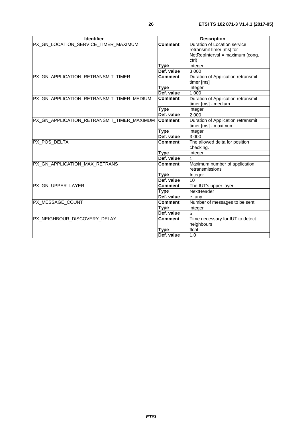| <b>Identifier</b>                          |                | <b>Description</b>                                                                           |
|--------------------------------------------|----------------|----------------------------------------------------------------------------------------------|
| PX_GN_LOCATION_SERVICE_TIMER_MAXIMUM       | <b>Comment</b> | Duration of Location service<br>retransmit timer [ms] for<br>NetRepInterval = maximum (cong. |
|                                            | <b>Type</b>    | ctrl)<br>integer                                                                             |
|                                            | Def. value     | 3 0 0 0                                                                                      |
| PX_GN_APPLICATION_RETRANSMIT_TIMER         | <b>Comment</b> | Duration of Application retransmit<br>timer [ms]                                             |
|                                            | <b>Type</b>    | integer                                                                                      |
|                                            | Def. value     | 1 000                                                                                        |
| PX_GN_APPLICATION_RETRANSMIT_TIMER_MEDIUM  | <b>Comment</b> | Duration of Application retransmit<br>timer [ms] - medium                                    |
|                                            | <b>Type</b>    | integer                                                                                      |
|                                            | Def. value     | 2 0 0 0                                                                                      |
| PX_GN_APPLICATION_RETRANSMIT_TIMER_MAXIMUM | <b>Comment</b> | Duration of Application retransmit<br>timer [ms] - maximum                                   |
|                                            | <b>Type</b>    | integer                                                                                      |
|                                            | Def. value     | 3 0 0 0                                                                                      |
| PX POS DELTA                               | <b>Comment</b> | The allowed delta for position<br>checking.                                                  |
|                                            | <b>Type</b>    | integer                                                                                      |
|                                            | Def. value     |                                                                                              |
| PX_GN_APPLICATION_MAX_RETRANS              | <b>Comment</b> | Maximum number of application<br>retransmissions                                             |
|                                            | <b>Type</b>    | Integer                                                                                      |
|                                            | Def. value     | 10                                                                                           |
| PX_GN_UPPER_LAYER                          | <b>Comment</b> | The IUT's upper layer                                                                        |
|                                            | Type           | NextHeader                                                                                   |
|                                            | Def. value     | e_any                                                                                        |
| PX_MESSAGE_COUNT                           | <b>Comment</b> | Number of messages to be sent                                                                |
|                                            | Type           | integer                                                                                      |
|                                            | Def. value     | 5                                                                                            |
| PX_NEIGHBOUR_DISCOVERY_DELAY               | <b>Comment</b> | Time necessary for IUT to detect<br>neighbours                                               |
|                                            | <b>Type</b>    | float                                                                                        |
|                                            | Def. value     | 1,0                                                                                          |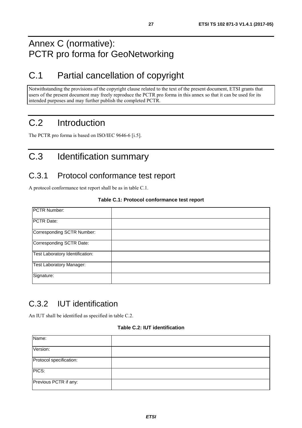## <span id="page-26-0"></span>Annex C (normative): PCTR pro forma for GeoNetworking

## C.1 Partial cancellation of copyright

Notwithstanding the provisions of the copyright clause related to the text of the present document, ETSI grants that users of the present document may freely reproduce the PCTR pro forma in this annex so that it can be used for its intended purposes and may further publish the completed PCTR.

## C.2 Introduction

The PCTR pro forma is based on ISO/IEC 9646-6 [[i.5](#page-6-0)].

## C.3 Identification summary

### C.3.1 Protocol conformance test report

A protocol conformance test report shall be as in table C.1.

### **Table C.1: Protocol conformance test report**

| PCTR Number:                    |  |
|---------------------------------|--|
| PCTR Date:                      |  |
| Corresponding SCTR Number:      |  |
| Corresponding SCTR Date:        |  |
| Test Laboratory Identification: |  |
| <b>Test Laboratory Manager:</b> |  |
| Signature:                      |  |

### C.3.2 IUT identification

An IUT shall be identified as specified in table C.2.

#### **Table C.2: IUT identification**

| Name:                   |  |
|-------------------------|--|
| Version:                |  |
| Protocol specification: |  |
| PICS:                   |  |
| Previous PCTR if any:   |  |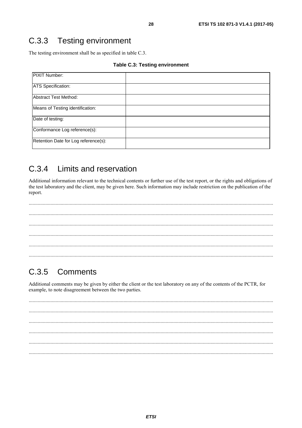#### <span id="page-27-0"></span> $C.3.3$ **Testing environment**

The testing environment shall be as specified in table C.3.

#### **Table C.3: Testing environment**

| PIXIT Number:                        |  |
|--------------------------------------|--|
| <b>ATS Specification:</b>            |  |
| Abstract Test Method:                |  |
| Means of Testing identification:     |  |
| Date of testing:                     |  |
| Conformance Log reference(s):        |  |
| Retention Date for Log reference(s): |  |

#### Limits and reservation  $C.3.4$

Additional information relevant to the technical contents or further use of the test report, or the rights and obligations of the test laboratory and the client, may be given here. Such information may include restriction on the publication of the report.

. . . . . . . . . 

#### $C.3.5$ Comments

Additional comments may be given by either the client or the test laboratory on any of the contents of the PCTR, for example, to note disagreement between the two parties.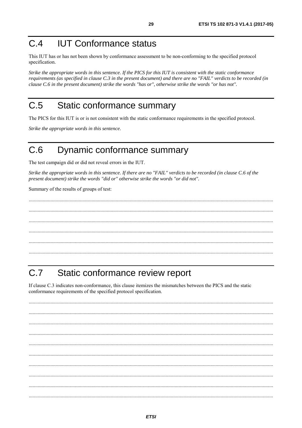#### <span id="page-28-0"></span> $C.4$ **IUT Conformance status**

This IUT has or has not been shown by conformance assessment to be non-conforming to the specified protocol specification.

Strike the appropriate words in this sentence. If the PICS for this IUT is consistent with the static conformance requirements (as specified in clause C.3 in the present document) and there are no "FAIL" verdicts to be recorded (in clause C.6 in the present document) strike the words "has or", otherwise strike the words "or has not".

#### $C<sub>5</sub>$ Static conformance summary

The PICS for this IUT is or is not consistent with the static conformance requirements in the specified protocol.

Strike the appropriate words in this sentence.

#### Dynamic conformance summary  $C<sub>6</sub>$

The test campaign did or did not reveal errors in the IUT.

Strike the appropriate words in this sentence. If there are no "FAIL" verdicts to be recorded (in clause C.6 of the present document) strike the words "did or" otherwise strike the words "or did not".

Summary of the results of groups of test:

#### $C.7$ Static conformance review report

If clause C.3 indicates non-conformance, this clause itemizes the mismatches between the PICS and the static conformance requirements of the specified protocol specification.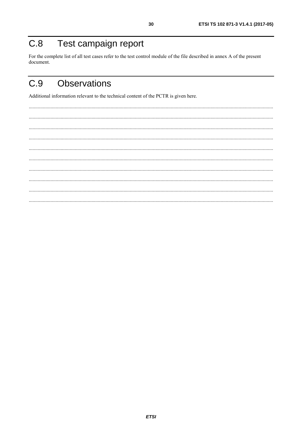#### <span id="page-29-0"></span>Test campaign report  $C.8$

For the complete list of all test cases refer to the test control module of the file described in annex A of the present document.

30

#### $C.9$ **Observations**

Additional information relevant to the technical content of the PCTR is given here.

 $\cdots$